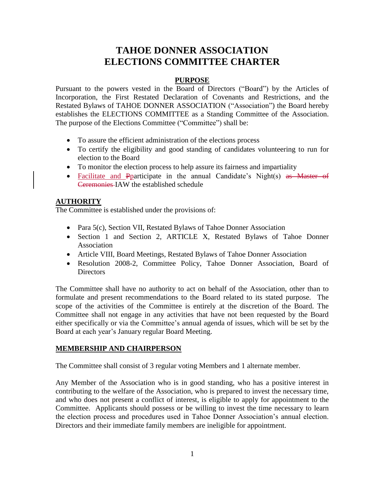# **TAHOE DONNER ASSOCIATION ELECTIONS COMMITTEE CHARTER**

#### **PURPOSE**

Pursuant to the powers vested in the Board of Directors ("Board") by the Articles of Incorporation, the First Restated Declaration of Covenants and Restrictions, and the Restated Bylaws of TAHOE DONNER ASSOCIATION ("Association") the Board hereby establishes the ELECTIONS COMMITTEE as a Standing Committee of the Association. The purpose of the Elections Committee ("Committee") shall be:

- To assure the efficient administration of the elections process
- To certify the eligibility and good standing of candidates volunteering to run for election to the Board
- To monitor the election process to help assure its fairness and impartiality
- Facilitate and Pparticipate in the annual Candidate's Night(s) as Master of Ceremonies IAW the established schedule

#### **AUTHORITY**

The Committee is established under the provisions of:

- Para 5(c), Section VII, Restated Bylaws of Tahoe Donner Association
- Section 1 and Section 2, ARTICLE X, Restated Bylaws of Tahoe Donner Association
- Article VIII, Board Meetings, Restated Bylaws of Tahoe Donner Association
- Resolution 2008-2, Committee Policy, Tahoe Donner Association, Board of **Directors**

The Committee shall have no authority to act on behalf of the Association, other than to formulate and present recommendations to the Board related to its stated purpose. The scope of the activities of the Committee is entirely at the discretion of the Board. The Committee shall not engage in any activities that have not been requested by the Board either specifically or via the Committee's annual agenda of issues, which will be set by the Board at each year's January regular Board Meeting.

# **MEMBERSHIP AND CHAIRPERSON**

The Committee shall consist of 3 regular voting Members and 1 alternate member.

Any Member of the Association who is in good standing, who has a positive interest in contributing to the welfare of the Association, who is prepared to invest the necessary time, and who does not present a conflict of interest, is eligible to apply for appointment to the Committee. Applicants should possess or be willing to invest the time necessary to learn the election process and procedures used in Tahoe Donner Association's annual election. Directors and their immediate family members are ineligible for appointment.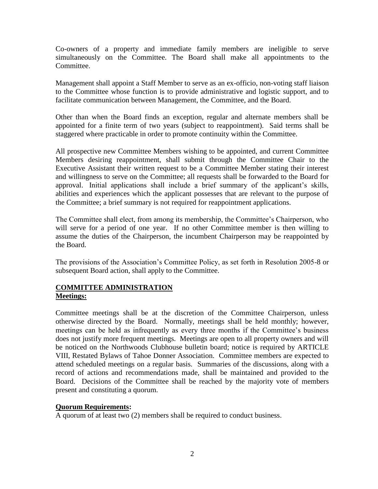Co-owners of a property and immediate family members are ineligible to serve simultaneously on the Committee. The Board shall make all appointments to the Committee.

Management shall appoint a Staff Member to serve as an ex-officio, non-voting staff liaison to the Committee whose function is to provide administrative and logistic support, and to facilitate communication between Management, the Committee, and the Board.

Other than when the Board finds an exception, regular and alternate members shall be appointed for a finite term of two years (subject to reappointment). Said terms shall be staggered where practicable in order to promote continuity within the Committee.

All prospective new Committee Members wishing to be appointed, and current Committee Members desiring reappointment, shall submit through the Committee Chair to the Executive Assistant their written request to be a Committee Member stating their interest and willingness to serve on the Committee; all requests shall be forwarded to the Board for approval. Initial applications shall include a brief summary of the applicant's skills, abilities and experiences which the applicant possesses that are relevant to the purpose of the Committee; a brief summary is not required for reappointment applications.

The Committee shall elect, from among its membership, the Committee's Chairperson, who will serve for a period of one year. If no other Committee member is then willing to assume the duties of the Chairperson, the incumbent Chairperson may be reappointed by the Board.

The provisions of the Association's Committee Policy, as set forth in Resolution 2005-8 or subsequent Board action, shall apply to the Committee.

#### **COMMITTEE ADMINISTRATION Meetings:**

Committee meetings shall be at the discretion of the Committee Chairperson, unless otherwise directed by the Board. Normally, meetings shall be held monthly; however, meetings can be held as infrequently as every three months if the Committee's business does not justify more frequent meetings. Meetings are open to all property owners and will be noticed on the Northwoods Clubhouse bulletin board; notice is required by ARTICLE VIII, Restated Bylaws of Tahoe Donner Association. Committee members are expected to attend scheduled meetings on a regular basis. Summaries of the discussions, along with a record of actions and recommendations made, shall be maintained and provided to the Board. Decisions of the Committee shall be reached by the majority vote of members present and constituting a quorum.

#### **Quorum Requirements:**

A quorum of at least two (2) members shall be required to conduct business.